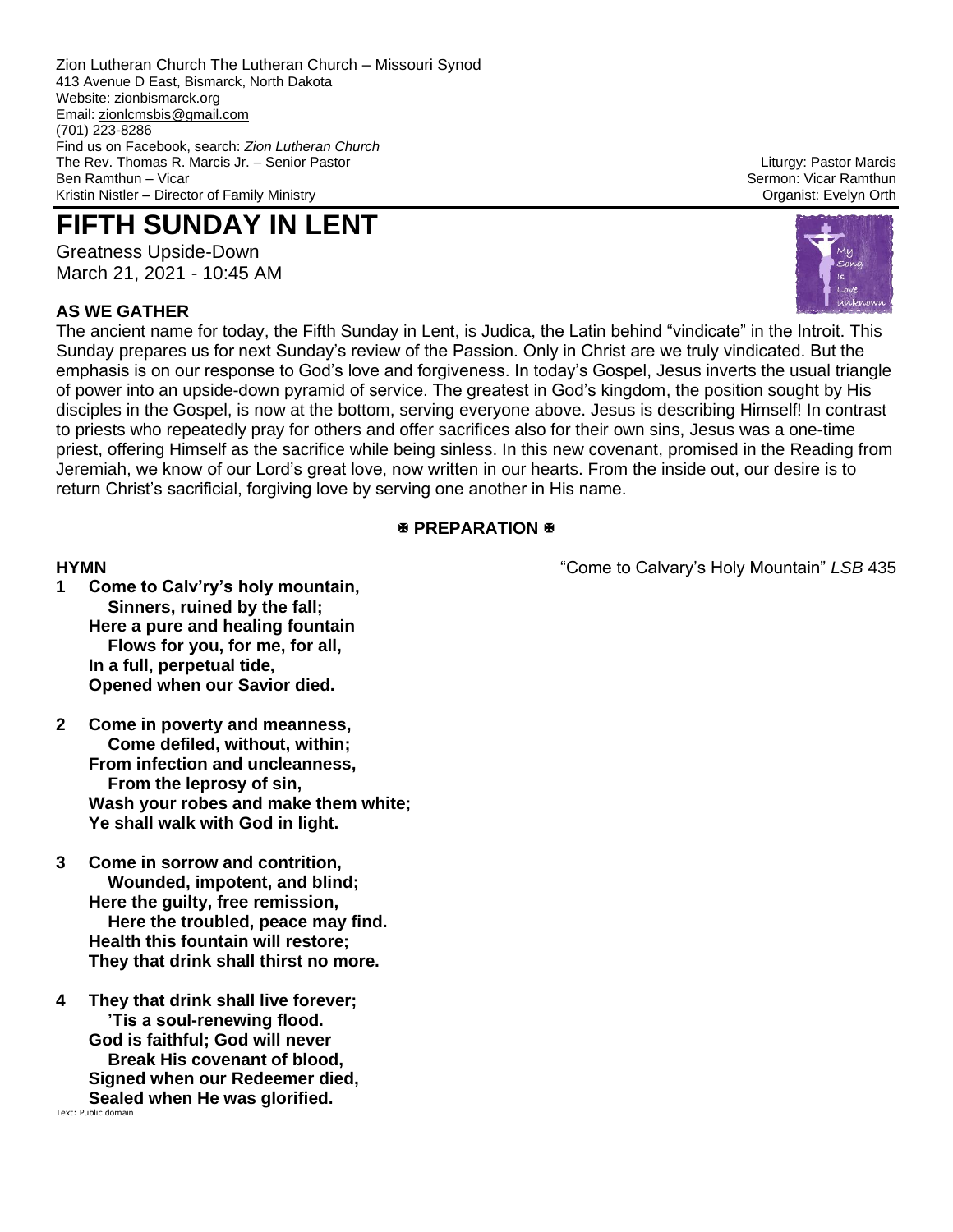Zion Lutheran Church The Lutheran Church – Missouri Synod 413 Avenue D East, Bismarck, North Dakota Website: zionbismarck.org Email[: zionlcmsbis@gmail.com](mailto:zionlcmsbis@gmail.com) (701) 223-8286 Find us on Facebook, search: *Zion Lutheran Church* The Rev. Thomas R. Marcis Jr. – Senior Pastor Liturgy: Pastor Marcis Kristin Nistler – Director of Family Ministry **Contract Contract Contract Contract Contract Contract Contract Contract Contract Contract Contract Contract Contract Contract Contract Contract Contract Contract Contract Cont** 

# **FIFTH SUNDAY IN LENT**

Greatness Upside-Down March 21, 2021 - 10:45 AM

# **AS WE GATHER**

Sermon: Vicar Ramthun



The ancient name for today, the Fifth Sunday in Lent, is Judica, the Latin behind "vindicate" in the Introit. This Sunday prepares us for next Sunday's review of the Passion. Only in Christ are we truly vindicated. But the emphasis is on our response to God's love and forgiveness. In today's Gospel, Jesus inverts the usual triangle of power into an upside-down pyramid of service. The greatest in God's kingdom, the position sought by His disciples in the Gospel, is now at the bottom, serving everyone above. Jesus is describing Himself! In contrast to priests who repeatedly pray for others and offer sacrifices also for their own sins, Jesus was a one-time priest, offering Himself as the sacrifice while being sinless. In this new covenant, promised in the Reading from Jeremiah, we know of our Lord's great love, now written in our hearts. From the inside out, our desire is to return Christ's sacrificial, forgiving love by serving one another in His name.

### **PREPARATION**

**HYMN** "Come to Calvary's Holy Mountain" *LSB* 435

- **1 Come to Calv'ry's holy mountain, Sinners, ruined by the fall; Here a pure and healing fountain Flows for you, for me, for all, In a full, perpetual tide, Opened when our Savior died.**
- **2 Come in poverty and meanness, Come defiled, without, within; From infection and uncleanness, From the leprosy of sin, Wash your robes and make them white; Ye shall walk with God in light.**
- **3 Come in sorrow and contrition, Wounded, impotent, and blind; Here the guilty, free remission, Here the troubled, peace may find. Health this fountain will restore; They that drink shall thirst no more.**
- **4 They that drink shall live forever; 'Tis a soul-renewing flood. God is faithful; God will never Break His covenant of blood, Signed when our Redeemer died, Sealed when He was glorified.**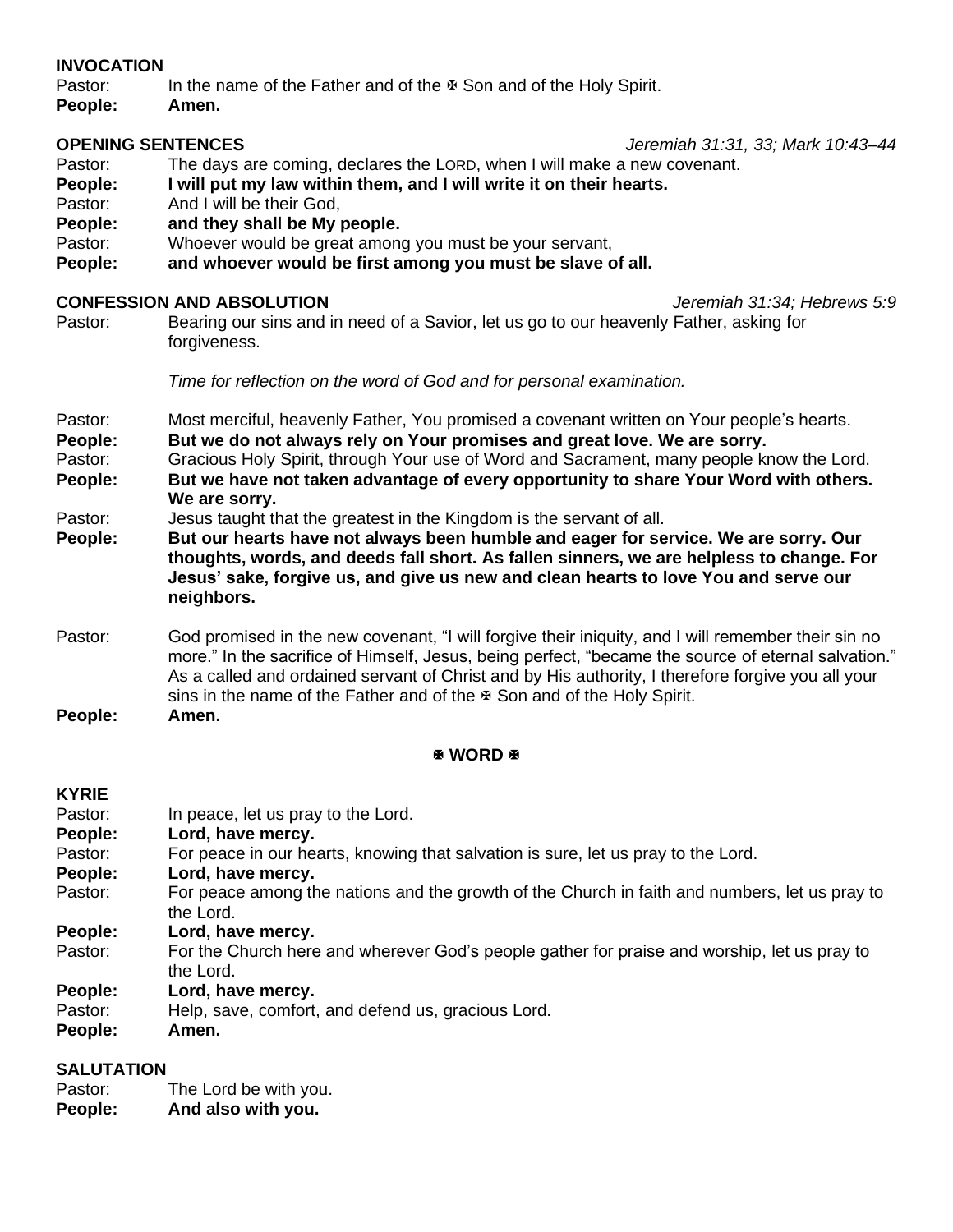# **INVOCATION**

Pastor: In the name of the Father and of the  $\mathbb F$  Son and of the Holy Spirit.

### **People: Amen.**

**OPENING SENTENCES** *Jeremiah 31:31, 33; Mark 10:43–44*

- Pastor: The days are coming, declares the LORD, when I will make a new covenant.
- **People: I will put my law within them, and I will write it on their hearts.**
- Pastor: And I will be their God.
- **People: and they shall be My people.**
- Pastor: Whoever would be great among you must be your servant,
- **People: and whoever would be first among you must be slave of all.**

### **CONFESSION AND ABSOLUTION** *Jeremiah 31:34; Hebrews 5:9*

Pastor: Bearing our sins and in need of a Savior, let us go to our heavenly Father, asking for forgiveness.

*Time for reflection on the word of God and for personal examination.*

- Pastor: Most merciful, heavenly Father, You promised a covenant written on Your people's hearts.
- **People: But we do not always rely on Your promises and great love. We are sorry.**
- Pastor: Gracious Holy Spirit, through Your use of Word and Sacrament, many people know the Lord.
- **People: But we have not taken advantage of every opportunity to share Your Word with others. We are sorry.**
- Pastor: Jesus taught that the greatest in the Kingdom is the servant of all.
- **People: But our hearts have not always been humble and eager for service. We are sorry. Our thoughts, words, and deeds fall short. As fallen sinners, we are helpless to change. For Jesus' sake, forgive us, and give us new and clean hearts to love You and serve our neighbors.**
- Pastor: God promised in the new covenant, "I will forgive their iniquity, and I will remember their sin no more." In the sacrifice of Himself, Jesus, being perfect, "became the source of eternal salvation." As a called and ordained servant of Christ and by His authority, I therefore forgive you all your sins in the name of the Father and of the  $\Phi$  Son and of the Holy Spirit.

**People: Amen.**

### **WORD**

### **KYRIE**

- Pastor: In peace, let us pray to the Lord.
- **People: Lord, have mercy.**
- Pastor: For peace in our hearts, knowing that salvation is sure, let us pray to the Lord.
- **People: Lord, have mercy.**
- Pastor: For peace among the nations and the growth of the Church in faith and numbers, let us pray to the Lord.
- **People: Lord, have mercy.**
- Pastor: For the Church here and wherever God's people gather for praise and worship, let us pray to the Lord.

# **People: Lord, have mercy.**

- Pastor: Help, save, comfort, and defend us, gracious Lord.
- **People: Amen.**

# **SALUTATION**

- Pastor: The Lord be with you.
- **People: And also with you.**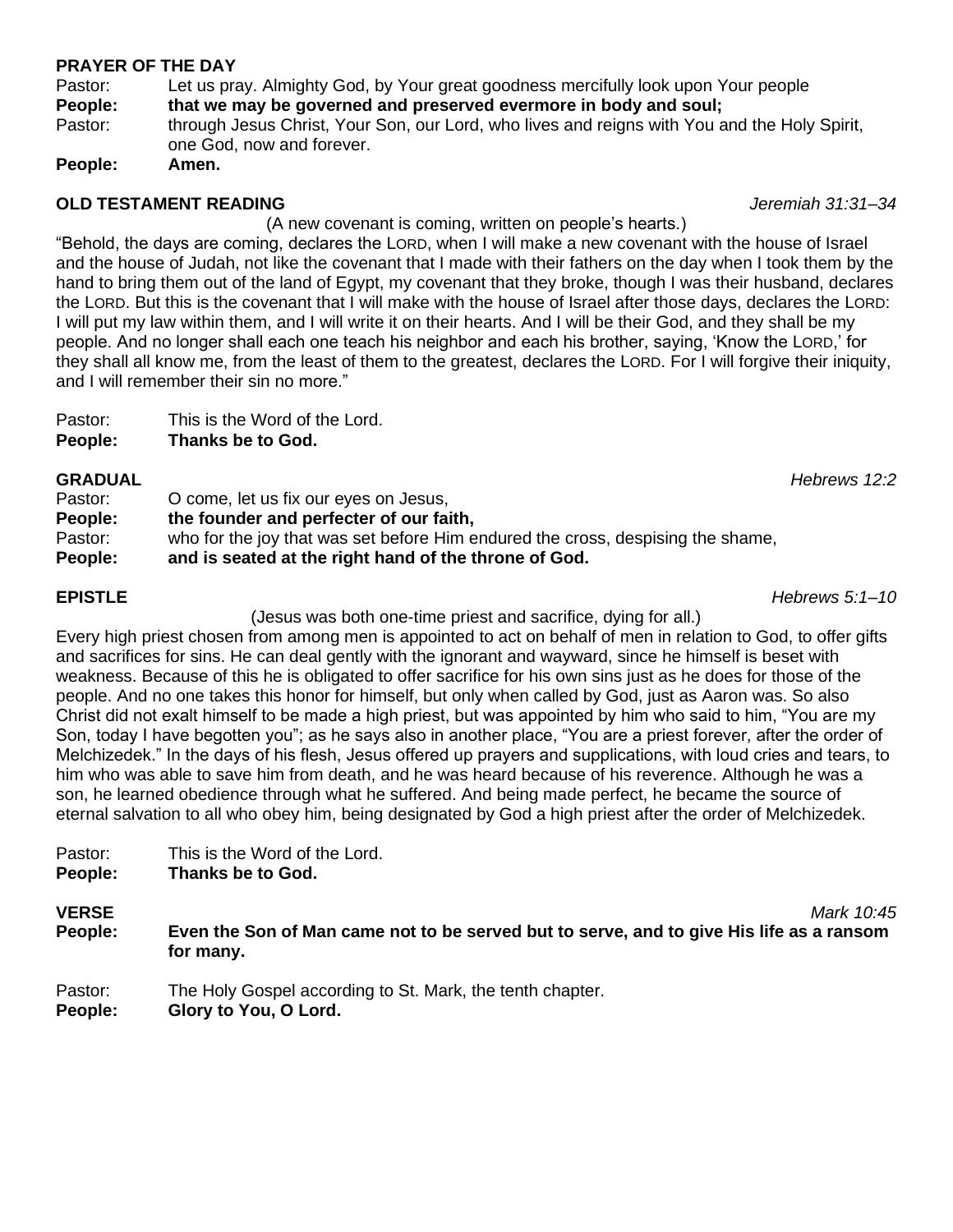### **PRAYER OF THE DAY**

Pastor: Let us pray. Almighty God, by Your great goodness mercifully look upon Your people **People: that we may be governed and preserved evermore in body and soul;** Pastor: through Jesus Christ, Your Son, our Lord, who lives and reigns with You and the Holy Spirit, one God, now and forever. **People: Amen.**

# **OLD TESTAMENT READING** *Jeremiah 31:31–34*

(A new covenant is coming, written on people's hearts.)

"Behold, the days are coming, declares the LORD, when I will make a new covenant with the house of Israel and the house of Judah, not like the covenant that I made with their fathers on the day when I took them by the hand to bring them out of the land of Egypt, my covenant that they broke, though I was their husband, declares the LORD. But this is the covenant that I will make with the house of Israel after those days, declares the LORD: I will put my law within them, and I will write it on their hearts. And I will be their God, and they shall be my people. And no longer shall each one teach his neighbor and each his brother, saying, 'Know the LORD,' for they shall all know me, from the least of them to the greatest, declares the LORD. For I will forgive their iniquity, and I will remember their sin no more."

| Pastor: | This is the Word of the Lord. |
|---------|-------------------------------|
| People: | Thanks be to God.             |

# **GRADUAL** *Hebrews 12:2*

| Pastor: | O come, let us fix our eyes on Jesus,                                           |
|---------|---------------------------------------------------------------------------------|
| People: | the founder and perfecter of our faith,                                         |
| Pastor: | who for the joy that was set before Him endured the cross, despising the shame, |
| People: | and is seated at the right hand of the throne of God.                           |

**EPISTLE** *Hebrews 5:1–10*

(Jesus was both one-time priest and sacrifice, dying for all.) Every high priest chosen from among men is appointed to act on behalf of men in relation to God, to offer gifts and sacrifices for sins. He can deal gently with the ignorant and wayward, since he himself is beset with weakness. Because of this he is obligated to offer sacrifice for his own sins just as he does for those of the people. And no one takes this honor for himself, but only when called by God, just as Aaron was. So also Christ did not exalt himself to be made a high priest, but was appointed by him who said to him, "You are my Son, today I have begotten you"; as he says also in another place, "You are a priest forever, after the order of Melchizedek." In the days of his flesh, Jesus offered up prayers and supplications, with loud cries and tears, to him who was able to save him from death, and he was heard because of his reverence. Although he was a son, he learned obedience through what he suffered. And being made perfect, he became the source of eternal salvation to all who obey him, being designated by God a high priest after the order of Melchizedek.

- Pastor: This is the Word of the Lord.
- **People: Thanks be to God.**

# **VERSE** *Mark 10:45*

- **People: Even the Son of Man came not to be served but to serve, and to give His life as a ransom for many.**
- Pastor: The Holy Gospel according to St. Mark, the tenth chapter.
- **People: Glory to You, O Lord.**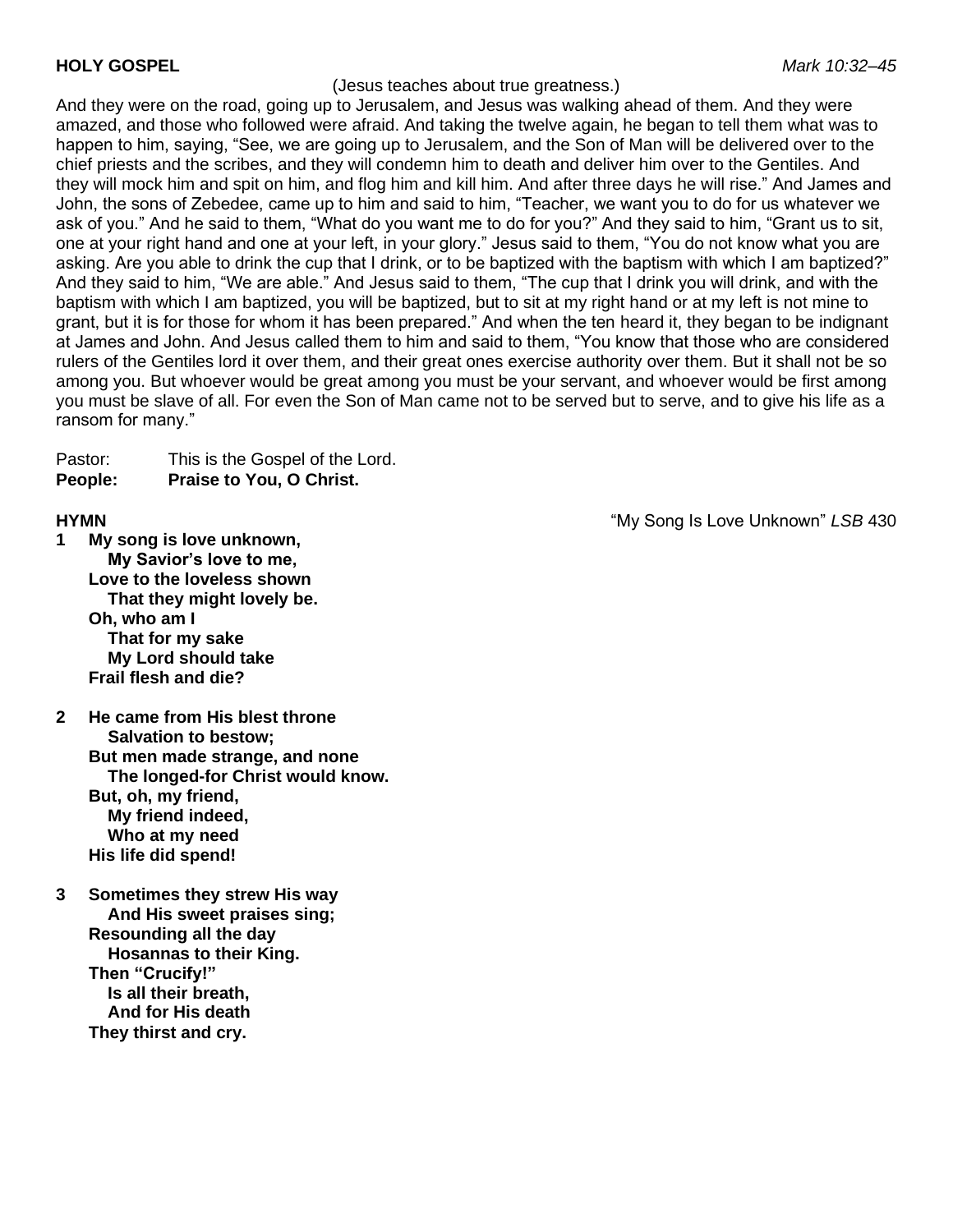### **HOLY GOSPEL** *Mark 10:32–45*

(Jesus teaches about true greatness.)

And they were on the road, going up to Jerusalem, and Jesus was walking ahead of them. And they were amazed, and those who followed were afraid. And taking the twelve again, he began to tell them what was to happen to him, saying, "See, we are going up to Jerusalem, and the Son of Man will be delivered over to the chief priests and the scribes, and they will condemn him to death and deliver him over to the Gentiles. And they will mock him and spit on him, and flog him and kill him. And after three days he will rise." And James and John, the sons of Zebedee, came up to him and said to him, "Teacher, we want you to do for us whatever we ask of you." And he said to them, "What do you want me to do for you?" And they said to him, "Grant us to sit, one at your right hand and one at your left, in your glory." Jesus said to them, "You do not know what you are asking. Are you able to drink the cup that I drink, or to be baptized with the baptism with which I am baptized?" And they said to him, "We are able." And Jesus said to them, "The cup that I drink you will drink, and with the baptism with which I am baptized, you will be baptized, but to sit at my right hand or at my left is not mine to grant, but it is for those for whom it has been prepared." And when the ten heard it, they began to be indignant at James and John. And Jesus called them to him and said to them, "You know that those who are considered rulers of the Gentiles lord it over them, and their great ones exercise authority over them. But it shall not be so among you. But whoever would be great among you must be your servant, and whoever would be first among you must be slave of all. For even the Son of Man came not to be served but to serve, and to give his life as a ransom for many."

| Pastor: | This is the Gospel of the Lord. |
|---------|---------------------------------|
| People: | Praise to You, O Christ.        |
|         |                                 |

**1 My song is love unknown, My Savior's love to me, Love to the loveless shown That they might lovely be. Oh, who am I That for my sake My Lord should take Frail flesh and die?**

- **2 He came from His blest throne Salvation to bestow; But men made strange, and none The longed-for Christ would know. But, oh, my friend, My friend indeed, Who at my need His life did spend!**
- **3 Sometimes they strew His way And His sweet praises sing; Resounding all the day Hosannas to their King. Then "Crucify!" Is all their breath, And for His death They thirst and cry.**

**HYMN** "My Song Is Love Unknown" *LSB* 430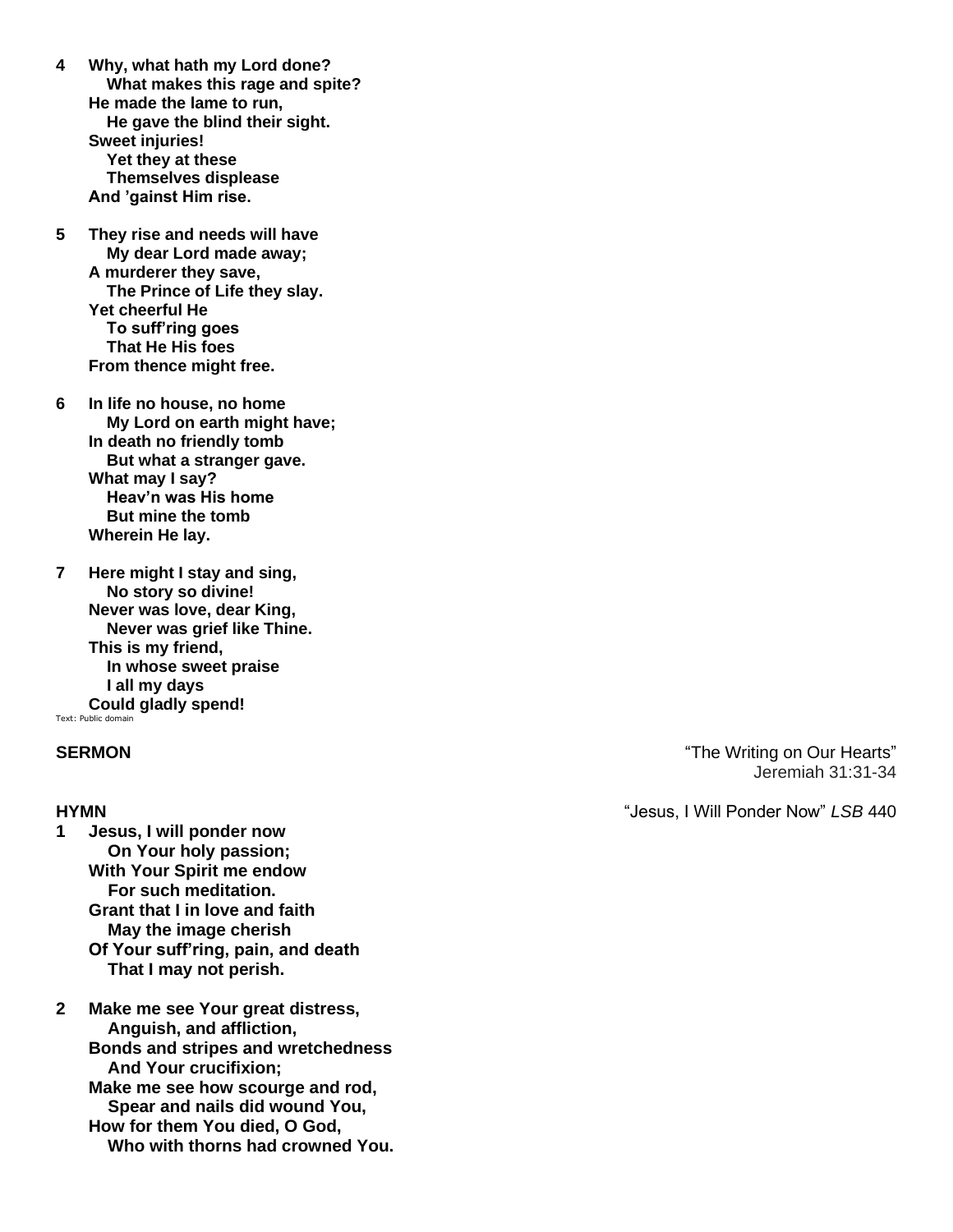- **4 Why, what hath my Lord done? What makes this rage and spite? He made the lame to run, He gave the blind their sight. Sweet injuries! Yet they at these Themselves displease And 'gainst Him rise.**
- **5 They rise and needs will have My dear Lord made away; A murderer they save, The Prince of Life they slay. Yet cheerful He To suff'ring goes That He His foes From thence might free.**
- **6 In life no house, no home My Lord on earth might have; In death no friendly tomb But what a stranger gave. What may I say? Heav'n was His home But mine the tomb Wherein He lay.**
- **7 Here might I stay and sing, No story so divine! Never was love, dear King, Never was grief like Thine. This is my friend, In whose sweet praise I all my days Could gladly spend!** Text: Public domain

- **1 Jesus, I will ponder now On Your holy passion; With Your Spirit me endow For such meditation. Grant that I in love and faith May the image cherish Of Your suff'ring, pain, and death That I may not perish.**
- **2 Make me see Your great distress, Anguish, and affliction, Bonds and stripes and wretchedness And Your crucifixion; Make me see how scourge and rod, Spear and nails did wound You, How for them You died, O God, Who with thorns had crowned You.**

**SERMON SERMON SERMON** *CONSIDERING <b>SERMON CONSIDERING CONSIDERING***</del> <b>***CONSIDERING CONSIDERING CONSIDERING CONSIDERING CONSIDERING***</del> <b>***CONSIDERING CONSIDERING CONSIDERING CONSIDER* Jeremiah 31:31-34

**HYMN** "Jesus, I Will Ponder Now" *LSB* 440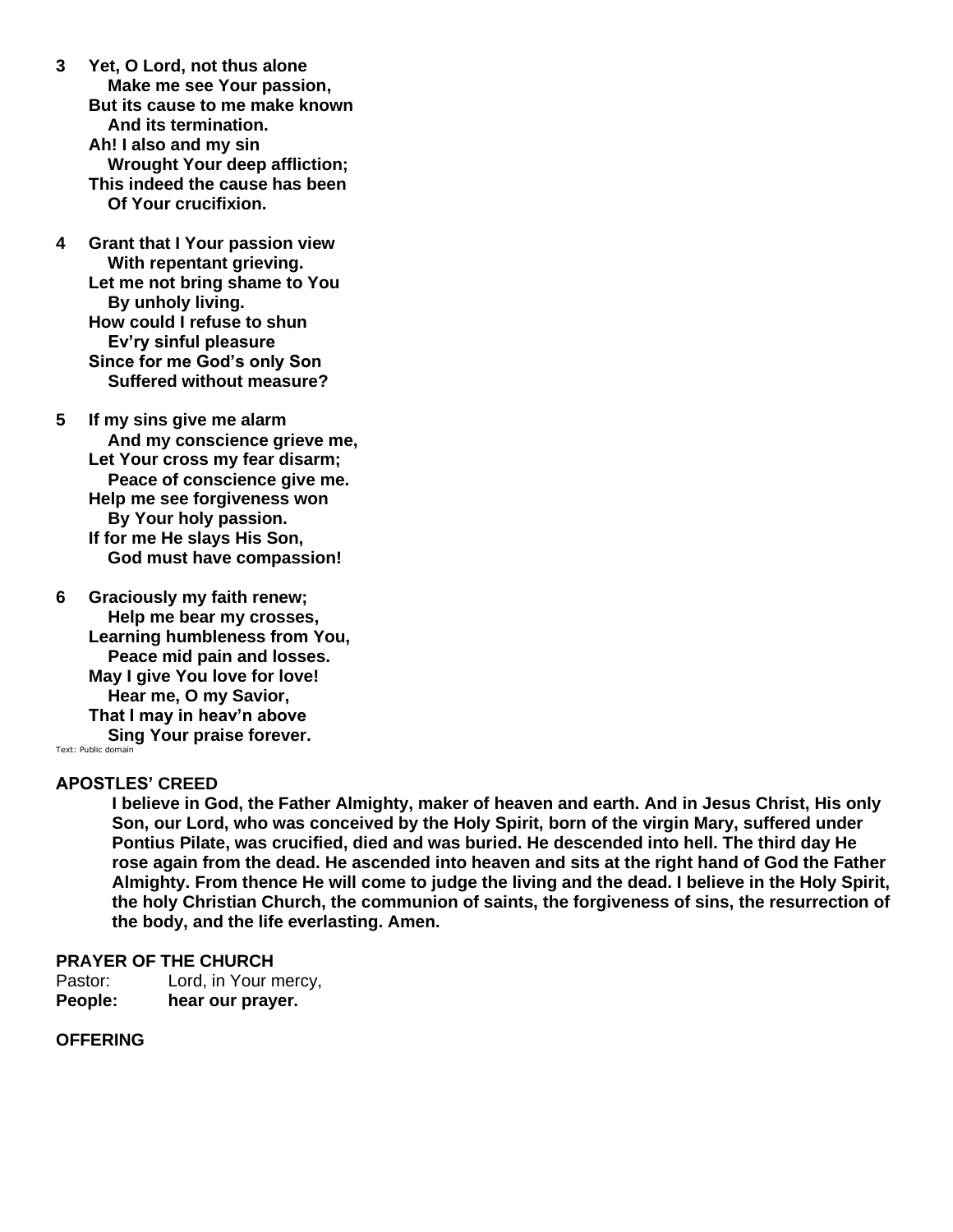- **3 Yet, O Lord, not thus alone Make me see Your passion, But its cause to me make known And its termination. Ah! I also and my sin Wrought Your deep affliction; This indeed the cause has been Of Your crucifixion.**
- **4 Grant that I Your passion view With repentant grieving. Let me not bring shame to You By unholy living. How could I refuse to shun Ev'ry sinful pleasure Since for me God's only Son Suffered without measure?**

**5 If my sins give me alarm And my conscience grieve me, Let Your cross my fear disarm; Peace of conscience give me. Help me see forgiveness won By Your holy passion. If for me He slays His Son, God must have compassion!**

**6 Graciously my faith renew; Help me bear my crosses, Learning humbleness from You, Peace mid pain and losses. May I give You love for love! Hear me, O my Savior, That I may in heav'n above Sing Your praise forever.** Text: Public domain

### **APOSTLES' CREED**

**I believe in God, the Father Almighty, maker of heaven and earth. And in Jesus Christ, His only Son, our Lord, who was conceived by the Holy Spirit, born of the virgin Mary, suffered under Pontius Pilate, was crucified, died and was buried. He descended into hell. The third day He rose again from the dead. He ascended into heaven and sits at the right hand of God the Father Almighty. From thence He will come to judge the living and the dead. I believe in the Holy Spirit, the holy Christian Church, the communion of saints, the forgiveness of sins, the resurrection of the body, and the life everlasting. Amen.**

### **PRAYER OF THE CHURCH**

Pastor: Lord, in Your mercy, **People: hear our prayer.**

### **OFFERING**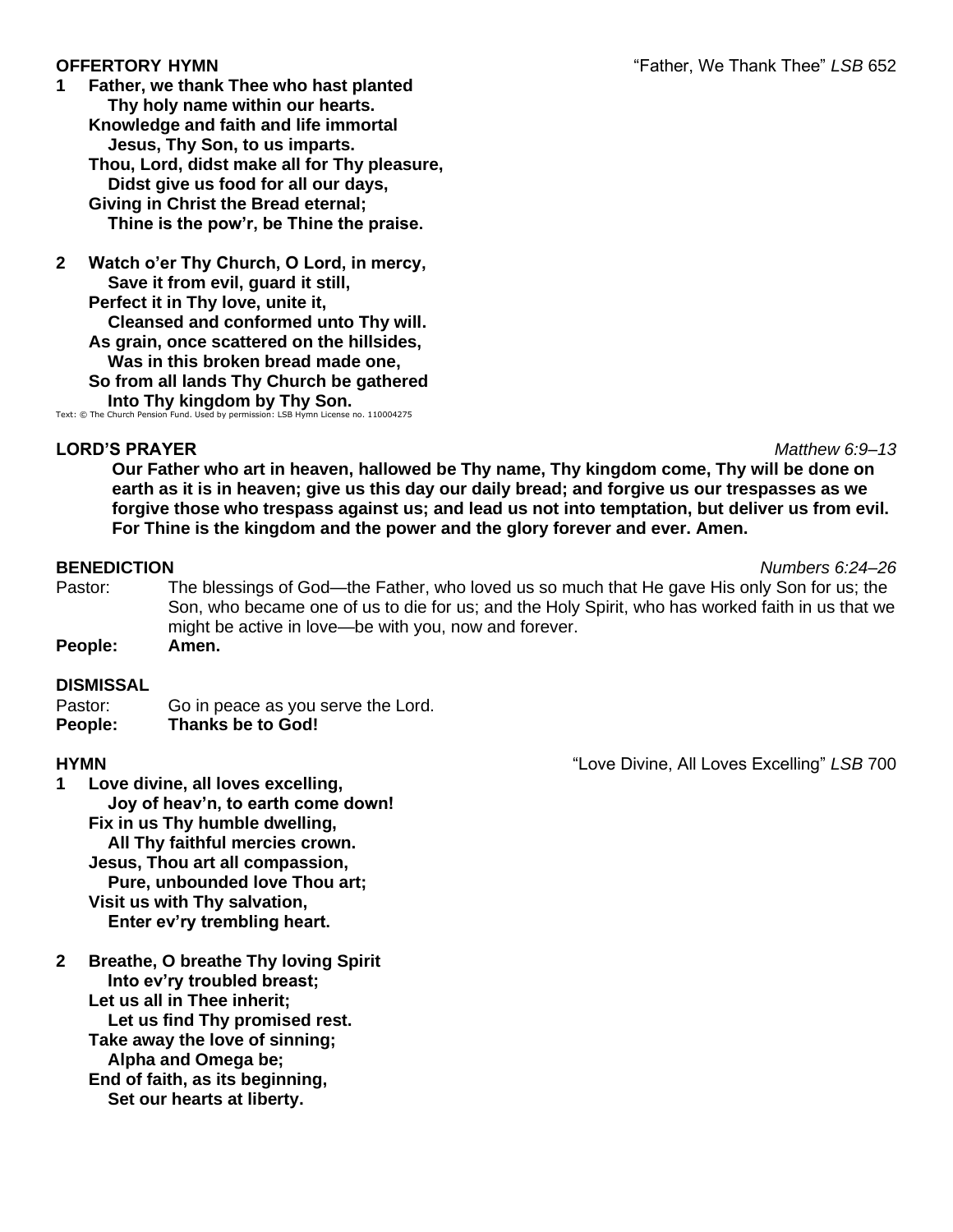**1 Father, we thank Thee who hast planted Thy holy name within our hearts. Knowledge and faith and life immortal Jesus, Thy Son, to us imparts. Thou, Lord, didst make all for Thy pleasure, Didst give us food for all our days, Giving in Christ the Bread eternal; Thine is the pow'r, be Thine the praise.**

**2 Watch o'er Thy Church, O Lord, in mercy, Save it from evil, guard it still, Perfect it in Thy love, unite it, Cleansed and conformed unto Thy will. As grain, once scattered on the hillsides, Was in this broken bread made one, So from all lands Thy Church be gathered Into Thy kingdom by Thy Son.**<br>Text: © The Church Pension Fund. Used by permission: LSB Hymn License no. 110004275

# **LORD'S PRAYER** *Matthew 6:9–13*

**Our Father who art in heaven, hallowed be Thy name, Thy kingdom come, Thy will be done on earth as it is in heaven; give us this day our daily bread; and forgive us our trespasses as we forgive those who trespass against us; and lead us not into temptation, but deliver us from evil. For Thine is the kingdom and the power and the glory forever and ever. Amen.**

**BENEDICTION** *Numbers 6:24–26*

Pastor: The blessings of God—the Father, who loved us so much that He gave His only Son for us; the Son, who became one of us to die for us; and the Holy Spirit, who has worked faith in us that we might be active in love—be with you, now and forever. **People: Amen.**

# **DISMISSAL**

Pastor: Go in peace as you serve the Lord. **People: Thanks be to God!**

- **1 Love divine, all loves excelling, Joy of heav'n, to earth come down! Fix in us Thy humble dwelling, All Thy faithful mercies crown. Jesus, Thou art all compassion, Pure, unbounded love Thou art; Visit us with Thy salvation, Enter ev'ry trembling heart.**
- **2 Breathe, O breathe Thy loving Spirit Into ev'ry troubled breast; Let us all in Thee inherit; Let us find Thy promised rest. Take away the love of sinning; Alpha and Omega be; End of faith, as its beginning, Set our hearts at liberty.**

**HYMN** "Love Divine, All Loves Excelling" *LSB* 700